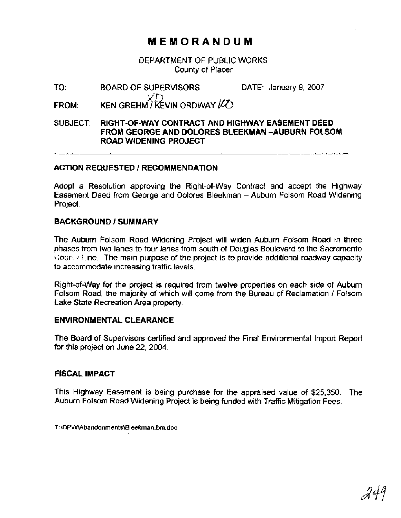## **MEMORANDUM**

DEPARTMENT OF PUBLIC WORKS County of Placer

TO: BOARD OF SUPERVISORS DATE: January 9,2007 KEN GREHMT KEVIN ORDWAY IZO **FROM:** 

#### SUBJECT: **RIGHT-OF-WAY CONTRACT AND HIGHWAY EASEMENT DEED FROM GEORGE AND DOLORES BLEEKMAN -AUBURN FOLSOM ROAD WIDENING PROJECT**

#### **ACTION REQUESTED I RECOMMENDATION**

Adopt a Resolution approving the Right-of-way Contract and accept the Highway Easement Deed from George and Dolores Bleekman -- Auburn Folsom Road Widening Project.

#### **BACKGROUND** *I* **SUMMARY**

The Auburn Folsom Road Widening Project will widen Auburn Folsom Road in three phases from two lanes to four lanes from south of Douglas Boulevard to the Sacramento Councy Line. The main purpose of the project is to provide additional roadway capacity to accommodate increasing traffic levels.

Right-of-way for the project is required from twelve properties on each side of Auburn Folsom Road, the majority of which will come from the Bureau of Reclamation **1** Folsom Lake State Recreation Area property.

#### **ENVIRONMENTAL CLEARANCE**

The Board of Supervisors certified and approved the Final Environmental Import Report for this project on June 22, 2004.

#### **FISCAL IMPACT**

This Highway Easement is being purchase for the appraised value of \$25,350. The Auburn Folsom Road Widening Project is being funded with Traffic Mitigation Fees.

T:\DPWAbandonments\Bleekman.bm.doc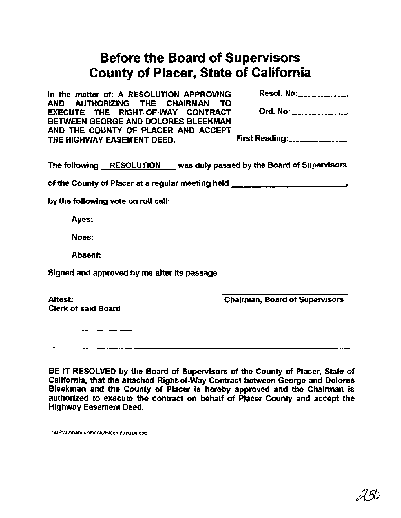# **Before the Board of Supervisors County of Placer, State of California**

| In the matter of: A RESOLUTION APPROVING                                                                    |                                       |
|-------------------------------------------------------------------------------------------------------------|---------------------------------------|
| AND AUTHORIZING THE CHAIRMAN TO<br>EXECUTE THE RIGHT-OF-WAY CONTRACT<br>BETWEEN GEORGE AND DOLORES BLEEKMAN | Ord. No: <u>_____________________</u> |
| AND THE COUNTY OF PLACER AND ACCEPT<br>THE HIGHWAY EASEMENT DEED.                                           |                                       |

The following RESOLUTION was duly passed by the Board of Supervisors

of the County of Placer at a regular meeting held **<sup>a</sup>**

by the following vote on roll call:

Ayes:

Noes:

Absent:

Signed and approved by me after its passage.

Attest: Clerk of said Board  $\frac{1}{2}$ chairman, Board of Supervisors

BE IT RESOLVED by the Board of Supervisors of the County of Placer, State of California, that the attached Right-of-way Contract between George and Dolores Bleekman and the County of Placer is hereby approved and the Chairman is authorized to execute the contract on behalf of Placer County and accept the Highway Easement Deed.

T:\DPW\Abandonments\Bieekman.res.doc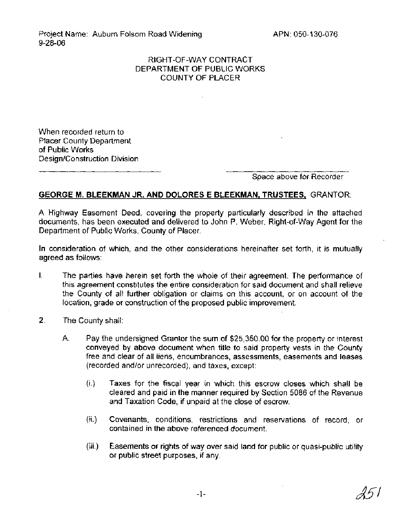Project Name: Auburn Folsom Road Widening 9-28-06

### RIGHT-OF-WAY CONTRACT DEPARTMENT OF PUBLIC WORKS COUNTY OF PLACER

When recorded return to Placer County Department of Public Works Design/Construction Division

Space above for Recorder

### **GEORGE M. BLEEKMAN JR. AND DOLORES E BLEEKMAN, TRUSTEES,** GRANTOR;

A Highway Easement Deed, covering the property particularly described in the attached documents, has been executed and delivered to John P. Weber, Right-of-way Agent for the Department of Public Works, County of Placer.

In consideration of which, and the other considerations hereinafter set forth, it is mutually agreed as follows:

- I. The parties have herein set forth the whole of their agreement. The performance of this agreement constitutes the entire consideration for said document and shall relieve the County of all further obligation or claims on this account, or on account of the location, grade or construction of the proposed public improvement.
- 2. The County shall:
	- A. Pay the undersigned Grantor the sum of \$25,350.00 for the property or interest conveyed by above document when title to said property vests in the County free and clear of all liens, encumbrances, assessments, easements and leases (recorded andlor unrecorded), and taxes, except:
		- (i.) Taxes for the fiscal year in which this escrow closes which shall be cleared and paid in the manner required by Section 5086 of the Revenue and Taxation Code, if unpaid at the close of escrow.
		- (ii.) Covenants, conditions, restrictions and reservations of record, or contained in the above referenced document.
		- (iii.) Easements or rights of way over said land for public or quasi-public utility or public street purposes, if any.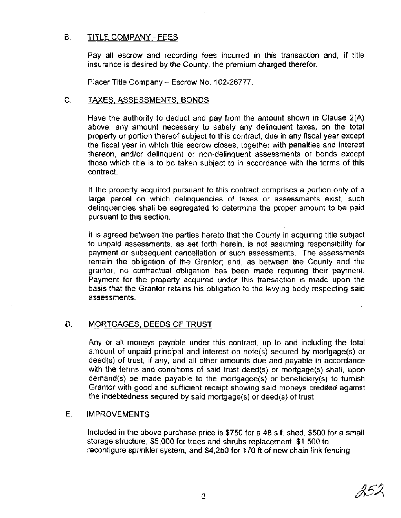#### В. TITLE COMPANY - FEES

Pay all escrow and recording fees incurred in this transaction and, if title insurance is desired by the County, the premium charged therefor.

Placer Title Company - Escrow No. 102-26777.

#### C. TAXES, ASSESSMENTS, BONDS

Have the authority to deduct and pay from the amount shown in Clause 2(A) above, any amount necessary to satisfy any delinquent taxes, on the total property or portion thereof subject to this contract, due in any fiscal year except the fiscal year in which this escrow closes, together with penalties and interest thereon, and/or delinquent or non-delinquent assessments or bonds except those which title is to be taken subject to in accordance with the terms of this contract.

If the property acquired pursuant'to this contract comprises a portion only of a large parcel on which delinquencies of taxes or assessments exist, such delinquencies shall be segregated to determine the proper amount to be paid pursuant to this section.

It is agreed between the parties hereto that the County in acquiring title subject to unpaid assessments, as set forth herein, is not assuming responsibility for payment or subsequent cancellation of such assessments. The assessments remain the obligation of the Grantor; and, as between the County and the grantor, no contractual obligation has been made requiring their payment. Payment for the property acquired under this transaction is made upon the basis that the Grantor retains his obligation to the levying body respecting said assessments.

### D. MORTGAGES, DEEDS OF TRUST

Any or all moneys payable under this contract, up to and including the total amount of unpaid principal and interest on note(s) secured by mortgage(s) or deed(s) of trust, if any, and all other amounts due and payable in accordance with the terms and conditions of said trust deed(s) or mortgage(s) shall, upon demand(s) be made payable to the mortgagee(s) or beneficiary(s) to furnish Grantor with good and sufficient receipt showing said moneys credited against the indebtedness secured by said mortgage(s) or deed(s) of trust

### E. IMPROVEMENTS

Included in the above purchase price is \$750 for a **48** s.f. shed, \$500 for a small storage structure, \$5,000 for trees and shrubs replacement, \$1,500 to reconfigure sprinkler system, and \$4,250 for 170 ft of new chain link fencing.

25.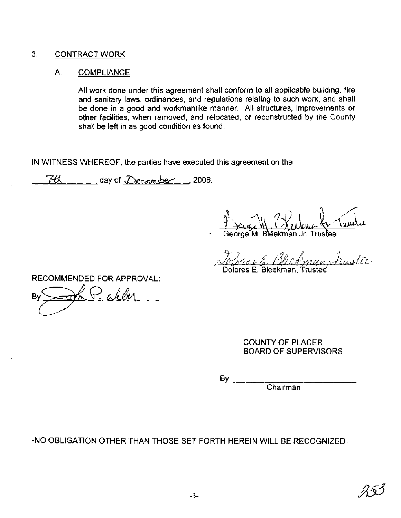#### 3. CONTRACT WORK

#### A. COMPLIANCE

All work done under this agreement shall conform to all applicable building, fire and sanitary laws, ordinances, and regulations relating to such work, and shall be done in a good and workmanlike manner. All structures, improvements or other facilities, when removed, and relocated, or reconstructed by the County shall be left in as good condition as found.

IN WITNESS WHEREOF, the parties have executed this agreement on the

 $\frac{74}{100}$  day of  $December$ , 2006.

George M. Bleekman Jr. Trustee

1 - Je Rhekman Auster Dolores E. Bleekman, Trustee

RECOMMENDED FOR APPROVAL:

 $\triangleright$  a helper Bv

COUNTY OF PLACER BOARD OF SUPERVISORS

Chairman

-NO OBLIGATION OTHER THAN THOSE SET FORTH HEREIN WILL BE RECOGNIZED-

By  $\overline{a}$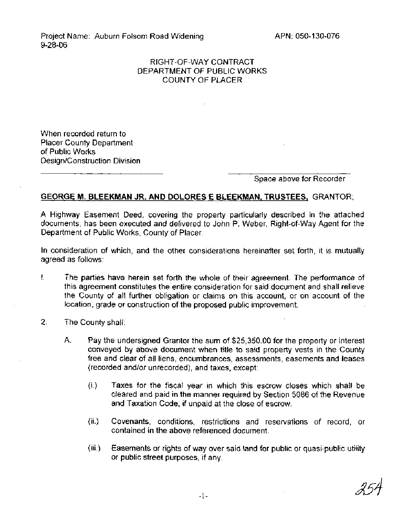Project Name: Auburn Folsom Road Widening 9-28-06

#### RIGHT-OF-WAY CONTRACT DEPARTMENT OF PUBLIC WORKS COUNTY OF PLACER

When recorded return to Placer County Department of Public Works Design/Construction Division

Space above for Recorder

#### **GEORGE M. BLEEKMAN JR. AND DOLORES E BLEEKMAN, TRUSTEES, GRANTOR;**

A Highway Easement Deed, covering the property particularly described in the attached documents, has been executed and delivered to John P. Weber, Right-of-way Agent for the Department of Public Works, County of Placer.

In consideration of which, and the other considerations hereinafter set forth, it is mutually agreed as follows:

- **I.** The parties have herein set forth the whole of their agreement. The performance of this agreement constitutes the entire consideration for said document and shall relieve the County of all further obligation or claims on this account, or on account of the location, grade or construction of the proposed public improvement.
- 2. The County shall:
	- A. Pay the undersigned Grantor the sum of \$25,350.00 for the property or interest conveyed by above document when title to said property vests in the County free and clear of all liens, encumbrances, assessments, easements and leases (recorded andlor unrecorded), and taxes, except:
		- (i.) Taxes for the fiscal year in which this escrow closes which shall be cleared and paid in the manner required by Section 5086 of the Revenue and Taxation Code, if unpaid at the close of escrow.
		- (ii.) Covenants, conditions, restrictions and reservations of record, or contained in the above referenced document.
		- (iii.) Easements or rights of way over said land for public or quasi-public utility or public street purposes, if any.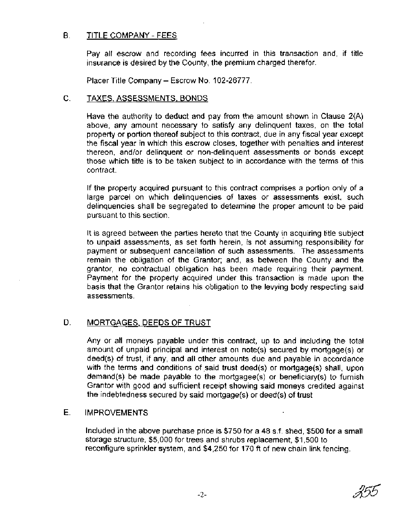#### B. TITLE COMPANY - FEES

Pay all escrow and recording fees incurred in this transaction and, if title insurance is desired by the County, the premium charged therefor.

Placer Title Company - Escrow No. 102-26777.

#### C. TAXES, ASSESSMENTS, BONDS

Have the authority to deduct and pay from the amount shown in Clause  $2(A)$ above, any amount necessary to satisfy any delinquent taxes, on the total property or portion thereof subject to this contract, due in any fiscal year except the fiscal year in which this escrow closes, together with penalties and interest thereon, and/or delinquent or non-delinquent assessments or bonds except those which title is to be taken subject to in accordance with the terms of this contract.

If the property acquired pursuant to this contract comprises a portion only of a large parcel on which delinquencies of taxes or assessments exist, such delinquencies shall be segregated to determine the proper amount to be paid pursuant to this section.

It is agreed between the parties hereto that the County in acquiring title subject to unpaid assessments, as set forth herein, is not assuming responsibility for payment or subsequent cancellation of such assessments. The assessments remain the obligation of the Grantor; and, as between the County and the grantor, no contractual obligation has been made requiring their payment. Payment for the property acquired under this transaction is made upon the basis that the Grantor retains his obligation to the levying body respecting said assessments.

### D. MORTGAGES, DEEDS OF TRUST

Any or all moneys payable under this contract, up to and including the total amount of unpaid principal and interest on note(s) secured by mortgage(s) or deed(s) of trust, if any, and all other amounts due and payable in accordance with the terms and conditions of said trust deed(s) or mortgage(s) shall, upon demand(s) be made payable to the mortgagee(s) or beneficiary(s) to furnish Grantor with good and sufficient receipt showing said moneys credited against the indebtedness secured by said mortgage(s) or deed(s) of trust

#### E. IMPROVEMENTS

Included in the above purchase price is \$750 for a 48 s.f. shed, \$500 for a small storage structure, \$5,000 for trees and shrubs replacement, \$1,500 to reconfigure sprinkler system, and \$4,250 for 170 ft of new chain link fencing.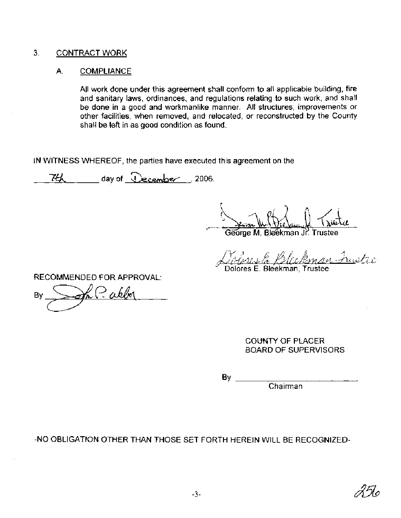#### 3. CONTRACT WORK

#### A. COMPLIANCE

All work done under this agreement shall conform to all applicable building, fire and sanitary laws, ordinances, and regulations relating to such work, and shall be done in a good and workmanlike manner. All structures, improvements or other facilities, when removed, and relocated, or reconstructed by the County shall be left in as good condition as found.

IN WITNESS WHEREOF, the parties have executed this agreement on the

 $74$ , day of  $\Omega$ ecember 12006.

George M. Bleêkman Jr. Trustee

'K /? 1, /, *I /,i~,.)r.~* /g,d *r,L/in,qvt .~LL&U-*Dolores E. Bleekman, Trustee

RECOMMENDED FOR APPROVAL:

?akba By

COUNTY OF PLACER BOARD OF SUPERVISORS

BY

Chairman

-NO OBLIGATION OTHER THAN THOSE SET FORTH HEREIN WILL BE RECOGNIZED-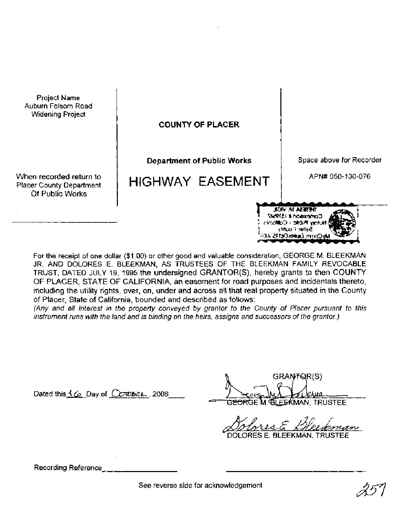Project Name Auburn Folsom Road Widening Project

**COUNTY OF PLACER** 

**Department of Public Works** 

HIGHWAY EASEMENT

Space above for Recorder

APN# 050-130-076

When recorded return to Placer County Department Of Public Works

> For the receipt of one dollar (\$1.00) or other good and valuable consideration, GEORGE M. BLEEKMAN JR. AND DOLORES E. BLEEKMAN, AS TRUSTEES OF THE BLEEKMAN FAMILY REVOCABLE TRUST, DATED JULY 19, 1995 the undersigned GRANTOR(S), hereby grants to then COUNTY OF PLACER, STATE OF CALIFORNIA, an easement for road purposes and incidentals thereto, including the utility rights, over, on, under and across all that real property situated in the County of Placer, State of California, bounded and described as follows:

> (Any and all interest in the property conveyed by grantor to the County of Placer pursuant to this instrument runs with the land and is binding on the heirs, assigns and successors of the grantor.)

Dated this 1 **6** Day of **CC**-Ober, 2006.

GRANTQR(S) Awa. <del>OR</del>GE M. GLEEKMAN, TRUSTEE.

**THERESA M. VICIL** Comment # 1519517 Notary Public - California Salter County MyConne Explace Des 2015, 2015

ORES E. BLEEKMAN. TRUSTEE

Recording Reference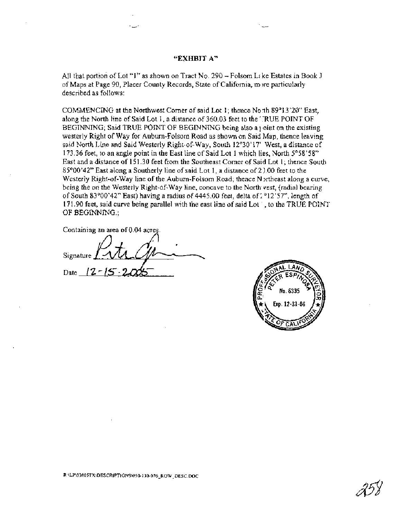#### **"EXHBIT A"**

All that portion of Lot "I" as shown on Tract No. 290 - Folsom Like Estates in Book J of Maps at Page 90, Placer County Records, State of California, more particularly described as follows:

COMMENCING at the Northwest Comer of said Lot 1 ; thence No **-th 89"** 13 '20" East, along the North line of Said Lot I, a distance of 360.03 feet to the "RUE POINT OF BEGINNING; Said TRUE POINT OF BEGINNING being also a joint on the existing westerly Right of Way for Auburn-Folsom Road as shown on Said Map, thence leaving said North Line and Said Westerly Right-of-way, South 12°30'17' West, a distance of 173.36 feet, to an angle point in the East line of Said Lot 1 which lies, North 5°58'58" East and a distance of 15 1.30 feet from the Southeast Comer of Said Lot **1** ; thence South 85O00'42" East along a Southerly line of said Lot 1, a distance of 2 1.00 feet to the Westerly Right-of-Way line of the Auburn-Folsom Road; thence N ortheast along a curve, being the on the Westerly Right-of-way line, concave to the North vest, (radial bearing of South 83 $^{\circ}00'42"$  East) having a radius of  $4445.00$  feet, delta of  $2^{\circ}12'57"$ , length of 171.90 feet, said curve being parallel with the east line of said Lot , to the TRUE POINT OF BEGINNING.;

Containing an area of 0.04 acres.

Signature tr<u>(j</u>p<br>= 2005 171.90 feet, said curve being parallel with the earth OF BEGINNING.;<br>Containing an area of 0.04 acres.<br>Signature 2-15 - 2005

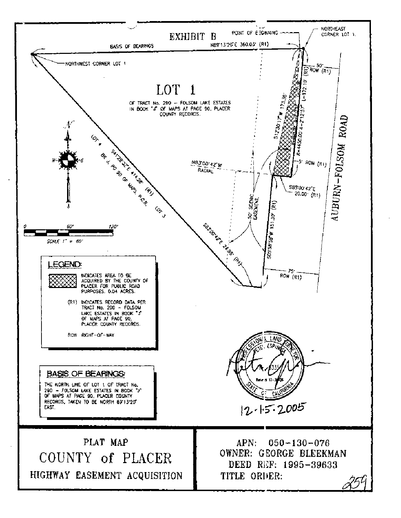